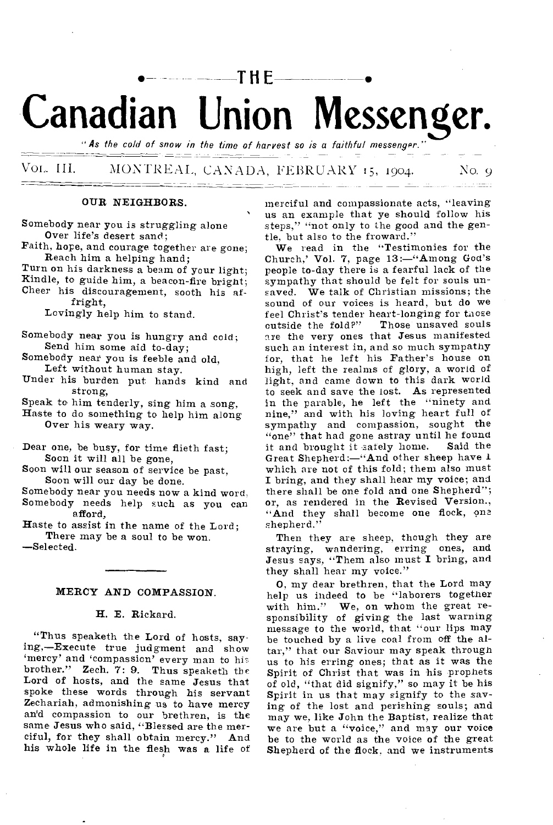# •— **--THE** • **Canadian Union Messenger.**

"As the cold of snow in the time of harvest so is a faithful messenger."

Vol,. III. MONTREAL, CANADA, FEBRUARY 15, 1904. No. 9

#### OUR NEIGHBORS.

Somebody near you is struggling alone Over life's desert sand;

Faith, hope, and courage together are gone; Reach him a helping hand;

Turn on his darkness a beam of your light;

Kindle, to guide him, a beacon-fire bright; Cheer his discouragement, sooth his af-

fright,

Lovingly help him to stand.

Somebody near you is hungry and cold; Send him some aid to-day;

Somebody near you is feeble and old. Left without human stay.

Under his burden put hands kind and strong,

Speak to him tenderly, sing him a song, Haste to do something to help him along Over his weary way.

Dear one, be busy, for time flieth fast; Soon it will all be gone,

Soon will our season of service be past, Soon will our day be done.

Somebody near you needs now a kind word, Somebody needs help such as you can afford,

Haste to assist in the name of the Lord; There may be a soul to be won.

—Selected.

#### MERCY AND COMPASSION.

#### H. E. Rickard.

"Thus speaketh the Lord of hosts, saying,—Execute true judgment and show 'mercy' and 'compassion' every man to his brother." Zech. 7: 9. Thus speaketh the Lord of hosts, and the same Jesus that spoke these words through his servant Zechariah, admonishing us to have mercy an'd compassion to our brethren, is the same Jesus who said, "Blessed are the merciful, for they shall obtain mercy." And his whole life in the flesh was a life of merciful and compassionate acts, "leaving us an example that ye should follow his steps," "not only to the good and the gentle, but also to the froward."

We read in the "Testimonies for the Church,' Vol. 7, page 13:—"Among God's people to-day there is a fearful lack of the sympathy that should be felt for souls unsaved. We talk of Christian missions; the sound of our voices is heard, but do we feel Christ's tender heart-longing for those<br>cutside the fold?" Those unsaved souls outside the fold?" are the very ones that Jesus manifested such an interest in, and so much sympathy for, that he left his Father's house on high, left the realms of glory, a world of light, and came down to this dark world to seek and save the lost. As represented in the parable, he left the "ninety and nine," and with his loving heart full of sympathy and compassion, sought the "one" that had gone astray until he found<br>it and brought it safely home. Said the it and brought it safely home. Great Shepherd:—"And other sheep have 1 which are not of this fold; them also must I bring, and they shall hear my voice; and there shall be one fold and one Shepherd"; or, as rendered in the Revised Version., "And they shall become one flock, one shepherd."

Then they are sheep, though they are straying, wandering, erring ones, and Jesus says, "Them also must I bring, and they shall hear my voice."

0, my dear brethren, that the Lord may help us indeed to be "laborers together with him." We, on whom the great responsibility of giving the last warning message to the world, that "our lips may be touched by a live coal from off the altar," that our Saviour may speak through us to his erring ones; that as it was the Spirit of Christ that was in his prophets of old, "that did signify," so may it be his Spirit in us that may signify to the saving of the lost and perishing souls; and may we, like John the Baptist, realize that we are but a "voice," and may our voice be to the world as the voice of the great Shepherd of the flock, and we instruments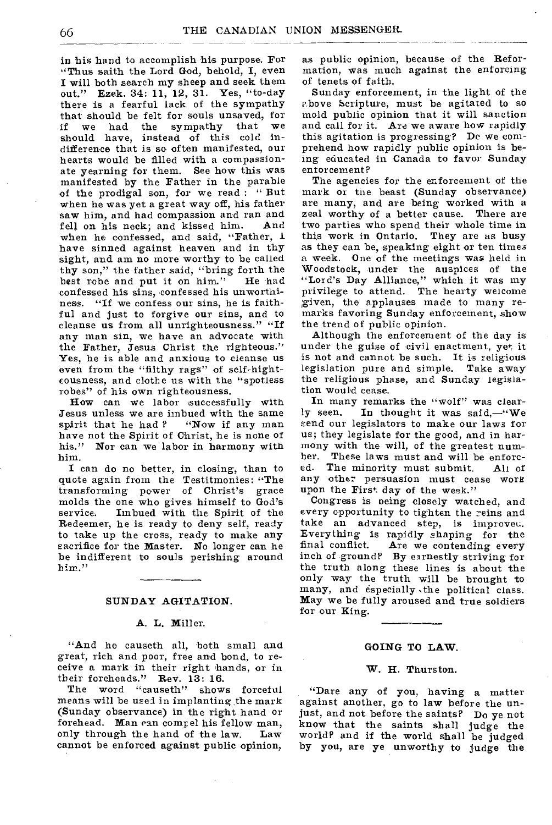in his hand to accomplish his purpose. For "Thus saith the Lord God, behold, I, even I will both search my sheep and seek them out." Ezek. 34: 11, 12, 31. Yes, "to-day there is a fearful lack of the sympathy that should be felt for souls unsaved, for if we had the sympathy that we should have, instead of this cold indifference that is so often manifested, our hearts would be filled with a compassionate yearning for them. See how this was manifested by the Father in the parable of the prodigal son, for we read : " But when he was yet a great way off, his father saw him, and had compassion and ran and<br>fell on his neck: and kissed him. And fell on his neck; and kissed him. when he confessed, and said, "Father, 1 have sinned against heaven and in thy sight, and am no more worthy to be called thy son," the father said, "bring forth the best robe and put it on him." He had best robe and put it on him." confessed his sins, confessed his unwortniness. "If we confess our sins, he is faithful and just to forgive our sins, and to cleanse us from all unrighteousness." "If any man sin, we have an advocate with the Father, Jesus Christ the righteous." Yes, he is able and anxious to cleanse us even from the "filthy rags" of self-hightcousness, and clothe us with the "spotless robes" of his own righteousness.

How can we labor successfully with Jesus unless we are imbued with the same<br>spirit that he had? "Now if any man spirit that he had ? have not the Spirit of Christ, he is none of his." Nor can we labor in harmony with him.

I can do no better, in closing, than to quote again from the Testitmonies: "The transforming power of Christ's grace molds the one who gives himself to God's Imbued with the Spirit of the Redeemer, he is ready to deny self, ready to take up the cross, ready to make any sacrifice for the Master. No longer can he be indifferent to souls perishing around him."

#### **SUNDAY AGITATION.**

#### **A.** L. Miller.

"And he causeth all, both small and great, rich and poor, free and bond, to receive a mark in their right hands, or in their foreheads." Rev. 13: 16.<br>The word "causeth" show

shows forceful means will be used in implanting the mark (Sunday observance) in the right hand or forehead. Man can comr el his fellow man, only through the hand of the law. Law cannot be enforced against public opinion,

as public opinion, because of the Reformation, was much against the enforcing of tenets of faith.

Sunday enforcement, in the light of the p,bove Scripture, must be agitated to so mold public opinion that it will sanction and call for it. Are we aware how rapidly this agitation is progressing? Dc we comprehend how rapidly public opinion is being educated in Canada to favor Sunday enforcement?

The agencies for the enforcement of the mark or the beast (Sunday observance) are many, and are being worked with a zeal worthy of a better cause. There are two parties who spend their whole time in this work in Ontario. They are as busy as they can be, speaking eight or ten times a week. One of the meetings was held in Woodstock, under the auspices of the "Lord's Day Alliance," which it was my privilege to attend. The hearty welcome given, the applauses made to many remarks favoring Sunday enforcement, show the trend of public opinion.

Although the enforcement of the day is under the guise of civil enactment, yet, it is not and cannot be such. **It** is religious legislation pure and simple. Take away the religious phase, and Sunday legislation would cease.

In many remarks the "wolf" was clearly seen. In thought it was said,—"We send our legislators to make our laws for us; they legislate for the good, and in harmony with the will, of the greatest num-<br>ber. These laws must and will be enforc-These laws must and will be enforc-<br>The minority must submit. All of ed. The minority must submit. any other persuasion must cease work upon the First day of the week."

Congress is oeing closely watched, and every opportunity to tighten the reins and take an advanced step, is improved. Everything is rapidly shaping for the<br>final conflict. Are we contending every Are we contending every inch of ground? By earnestly striving for the truth along these lines is about the only way the truth will be brought to many, and especially .the political class. May we be fully aroused and true soldiers for our King.

#### **GOING TO LAW.**

#### **W. H.** Thurston.

"Dare any of you, having a matter against another, go to law before the unjust, and not before the saints? Do ye not know that the saints shall judge the world? and if the world shall be judged by you, are ye unworthy to judge the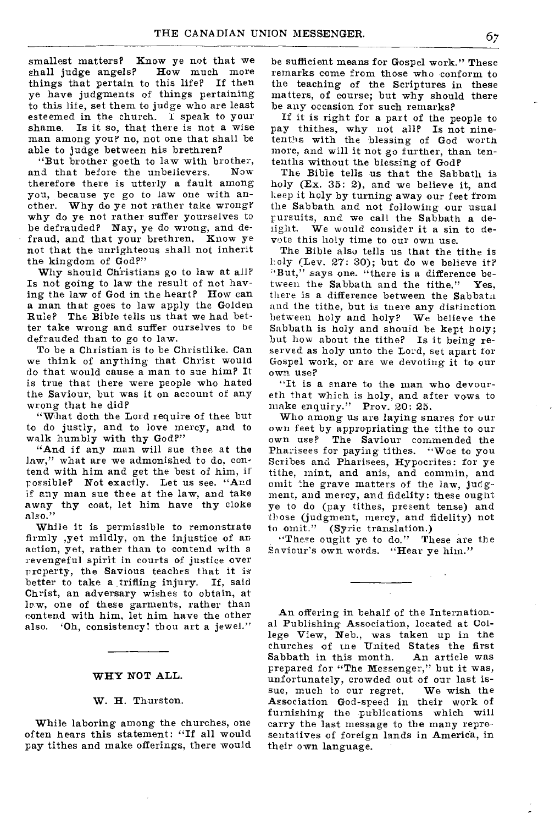smallest matters? Know ye not that we shall judge angels? How much more shall judge angels? things that pertain to this life? If then ye have judgments of things pertaining to this life, set them to judge who are least esteemed in the church. I speak to your Is it so, that there is not a wise man among you? no, not one that shall be able to judge between his brethren?

"But brother goeth to law with brother, and that before the unbelievers. therefore there is utterly a fault among you, because ye go to law one with another. Why do ye not rather take wrong? why do ye not rather suffer yourselves to be defrauded? Nay, ye do wrong, and defraud, and that your brethren. Know ye not that the unrighteous shall not inherit the kingdom of God?"

Why should Christians go to law at all? Is not going to law the result of not having the law of God in the heart? How can a man that goes to law apply the Golden Rule? The Bible tells us that we had better take wrong and suffer ourselves to be defrauded than to go to law.

To be a Christian is to be Christlike. Can we think of anything that Christ would do that would cause a man to sue him? It is true that there were people who hated the Saviour, but was it on account of any wrong that he did?

"What doth the Lord require of thee but to do justly, and to love mercy, and to walk humbly with thy God?"

"And if any man will sue thee at the law," what are we admonished to do, contend with him and get the best of him, if possible? Not exactly. Let us see. "And if any man sue thee at the law, and take away thy coat, let him have thy cloke also."

While it is permissible to remonstrate firmly ,yet mildly, on the injustice of an action, yet, rather than to contend with a revengeful spirit in courts of justice over property, the Savious teaches that it is better to take a trifling injury. If, said Christ, an adversary wishes to obtain, at low, one of these garments, rather than contend with him, let him have the other also. 'Oh, consistency! thou art a jewel."

#### WHY NOT ALL.

#### W. H. Thurston.

While laboring among the churches, one often hears this statement: "If all would pay tithes and make offerings, there would be sufficient means for Gospel work." These remarks come from those who conform to the teaching of the Scriptures in these matters, of course; but why should there be any occasion for such remarks?

If it is right for a part of the people to pay thithes, why not all? Is not ninetenths with the blessing of God worth more, and will it not go further, than tentenths without the blessing of God?

The Bible tells us that the Sabbath is holy (Ex. 35: 2), and we believe it, and keep it holy by turning away our feet from the Sabbath and not following our usual pursuits, and we call the Sabbath a detight. We would consider it a sin to devote this holy time to our own use.

The Bible alsu tells us that the tithe is holy (Lev. 27: 30); but do we believe it? "But," says one. "there is a difference between the Sabbath and the tithe." Yes, there is a difference between the Sabbath and the tithe, but is there any distinction between holy and holy? We believe the Sabbath is holy and should be kept holy; but how about the tithe? Is it being reserved as holy unto the Lord, set apart for Gospel work, or are we devoting it to our own use?

"It is a snare to the man who devoureth that which is holy, and after vows to make enquiry." Prov. 20: 25.

Who among us are laying snares for our own feet by appropriating the tithe to our The Saviour commended the Pharisees for paying tithes. "Woe to you Scribes and Pharisees, Hypocrites: for ye tithe, mint, and anis, and commin, and omit the grave matters of the law, judgment, and mercy, and fidelity: these ought ye to do (pay tithes, present tense) and those (judgment, mercy, and fidelity) not to omit." (Syric translation.)

"These ought ye to do." These are the Saviour's own words. "Hear ye him."

An offering in behalf of the International Publishing Association, located at College View, Neb., was taken up in the churches of the United States the first<br>Sabbath in this month. An article was Sabbath in this month. prepared for "The Messenger," but it was, unfortunately, crowded out of our last is-<br>sue, much to our regret. We wish the sue, much to our regret. Association God-speed in their work of furnishing the publications which will carry the last message to the many representatives of foreign lands in America, in their own language.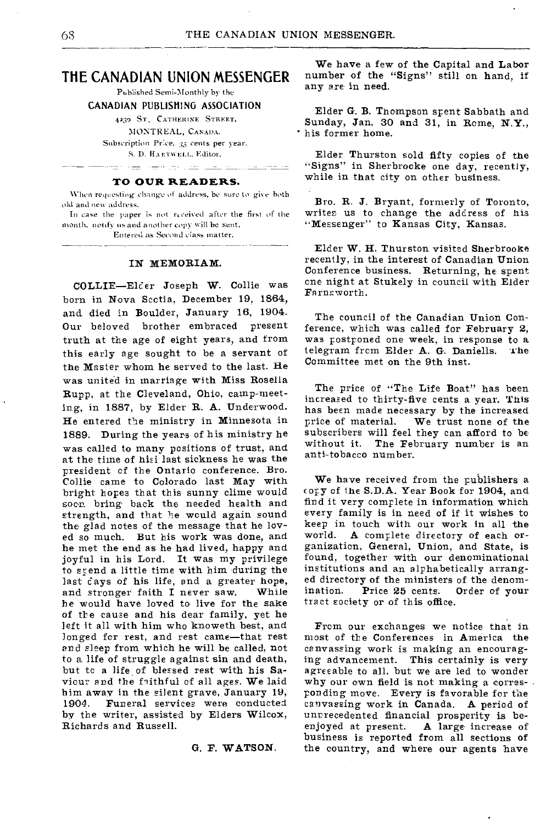# **THE CANADIAN UNION MESSENGER**

Published Semi-Monthly by the

CANADIAN PUBLISHING ASSOCIATION

4230 ST, CATHERINE STREET,

MONTREAL, CANADA. Subscription Price, 35 cents per year.

S. D. HARTWELL, Editor,

Fritza del definitio laz l

# **TO OUR READERS.**

When requesting change of address, be sure to give both old and new address.

In case the paper is not received after the first of the month, notify us and another copy will be sent. Entered as Second-class matter.

#### IN MEMORIAM.

COLLIE-Elder Joseph W. Collie was born in Nova Scctia, December 19, 1864, and died in Boulder, January 16, 1904. Our beloved brother embraced present truth at the age of eight years, and from this early age sought to be a servant of the Master whom he served to the last. He was united in marriage with Miss Rosella Rupp, at the Cleveland, Ohio, camp-meeting, in 1887, by Elder R. A. Underwood. He entered the ministry in Minnesota in 1889. During the years of his ministry he was called to many positions of trust, and at the time of hisi last sickness he was the president of the Ontario conference. Bro. Collie came to Colorado last May with bright hopes that this sunny clime would soon bring back the needed health and strength, and that he would again sound the glad notes of the message that he loved so much. But his work was done, and he met the end as he had lived, happy and joyful in his Lord. It was my privilege to spend a little time with him during the last days of his life, and a greater hope,<br>and stronger faith I never saw. While and stronger faith I never saw. he would have loved to live for the sake of the cause and his dear family, yet he left it all with him who knoweth best, and longed for rest, and rest came—that rest and sleep from which he will be called, not to a. life of struggle against sin and death, but tc a life of blessed rest with his Saviour and the faithful of all ages. We laid him away in the silent grave, January 19, 1904. Funeral services were conducted by the writer, assisted by Elders Wilcox, Richards and Russell.

#### G. F. WATSON.

We have a few of the Capital and Labor number of the "Signs" still on hand, if any are in need.

Elder G. B. Thompson spent Sabbath and Sunday, Jan. 30 and 31, in Rome, **N.Y.,**  " his former home.

Elder Thurston sold fifty copies of the "Signs" in Sherbrooke one day, recently, while in that city on other business.

Bro. R. J. Bryant, formerly of Toronto, writes us to change the address of his "Messenger" to Kansas City, Kansas.

Elder W. H. Thurston visited Sherbrooke recently, in the interest of Canadian Union Conference business. Returning, he spent cne night at Stukely in council with Elder Farnsworth.

The council of the Canadian Union Conference, which was called for February 2, was postponed one week, in response to a telegram from Elder A. G. Daniells. The telegram frcm Elder A. G. Daniells. Committee met on the 9th inst.

The price of "The Life Boat" has been increased to thirty-five cents a year. This has been made necessary by the increased price of material. We trust none of the subscribers will feel they can afford to be without it. The February number is an anti-tobacco number.

We have received from the publishers a **<sup>c</sup>** opy of the S.D.A. Year Book for 1904, and find it very complete in information which every family is in need of if it wishes to keep in touch with our work in all the<br>world. A complete directory of each or-A complete directory of each organization, General, Union, and State, is found, together with our denominational institutions and an alphabetically arranged directory of the ministers of the denomination. Price 25 cents. Order of your tract society or of this office.

From our exchanges we notice that in most of the Conferences in America the canvassing work is making an encouraging advancement. This certainly is very agreeable to all, but we are led to wonder why our own field is not making a corresponding move. Every is favorable for the canvassing work in Canada. A period of unrrecedented financial prosperity is beenjoyed at present. A large increase of business is reported from all sections of the country, and where our agents have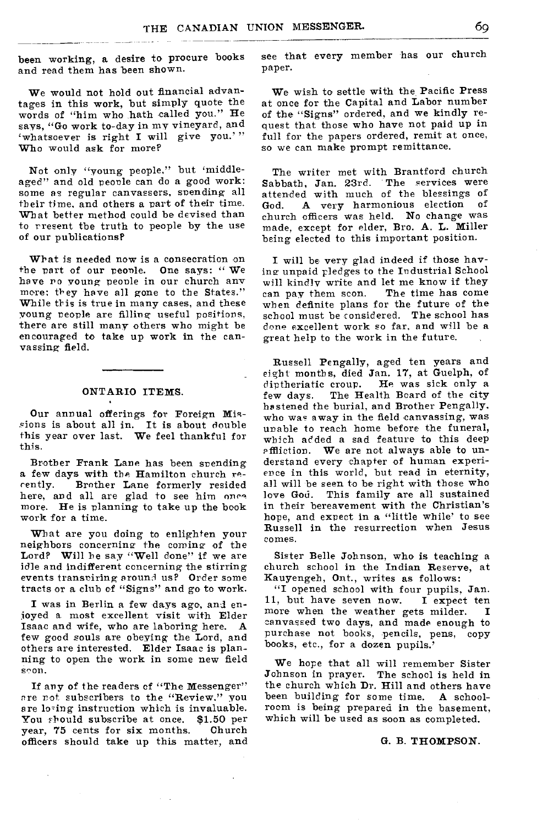been working, a desire to procure books and read them has been shown.

We would not hold out financial advantages in this work, but simply quote the words of "him who hath called you." He says, "Go work to-day in my vineyard, and 'whatsoever is right I will give you.'" Who would ask for more?

Not only "young people," but 'middleaged" and old people can do a good work: some as regular canvassers, spending all their time, and others a part of their time. What better method could be devised than to present the truth to people by the use of our publications?

What is needed now is a consecration on the part of our people. One says: "We have no young people in our church any more: they have all gone to the States." While this is true in many cases, and these young people are filling useful positions, there are still many others who might be encouraged to take up work in the canvassing field.

#### ONTARIO ITEMS.

Our annual offerings for Foreign Miscions is about all in. It is about double this year over last. We feel thankful for this.

Brother Frank Lane has been spending a few days with the Hamilton church re-<br>cently. Brother Lane formerly resided Brother Lane formerly resided here, and all are glad to see him once more. He is planning to take up the book work for a time.

What are you doing to enlighten your neighbors concerning the coming of the Lord? Will he say "Well done" if we are idle and indifferent concerning the stirring events transpiring around us? Order some tracts or a club of "Signs" and go to work.

I was in Berlin a few days ago, and enjoyed a most excellent visit with Elder Isaac and wife, who are laboring here. A few good souls are obeying the Lord, and others are interested. Elder Isaac is planning to open the work in some new field soon.

If any of the readers of "The Messenger" are not subscribers to the "Review," you are losing instruction which is invaluable.<br>You should subscribe at once. \$1.50 per You should subscribe at once. \$1.50 per<br>year. 75 cents for six months. Church year, 75 cents for six months. officers should take up this matter, and see that every member has our church paper.

We wish to settle with the Pacific Press at once for the Capital and Labor number of the "Signs" ordered, and we kindly request that those who have not paid up in full for the papers ordered, remit at once, so we can make prompt remittance.

The writer met with Brantford church Sabbath, Jan. 23rd. The services were attended with much of the blessings of<br>God. A very harmonious election of A very harmonious election of church officers was held. No change was made, except for elder, Bro. A. L. Miller being elected to this important position.

I will be very glad indeed if those having unpaid pledges to the Industrial School will kindly write and let me know if they<br>can pay them scon. The time has come can pay them scon. when definite plans for the future of the school must be considered. The school has done excellent work so far, and will be a great help to the work in the future.

Russell Pengally, aged ten years and eight months, died Jan. 17, at Guelph, of diptheriatic croup. He was sick only a few days. The Health Board of the city hastened the burial, and Brother Pengally, who was away in the field canvassing, was unable to reach home before the funeral, which added a sad feature to this deep affliction. We are not always able to understand every chapter of human experience in this world, but read in eternity, all will be seen to be right with those who love God. This family are all sustained in their bereavement with the Christian's hope, and expect in a "little while' to see Russell in the resurrection when Jesus comes.

Sister Belle Johnson, who is teaching a church school in the Indian Reserve, at Kauyengeh, Ont., writes as follows:

"I opened school with four pupils, Jan.<br>i, but have seven now. I expect ten 11, but have seven now. more when the weather gets milder. I canvassed two days, and made enough to purchase not books, pencils, pens, copy books, etc., for a dozen pupils.'

We hope that all will remember Sister Johnson in prayer. The school is held in the church which Dr. Hill and others have been building for some time. A schoolroom is being prepared in the basement, which will be used as soon as completed.

#### G. B. THOMPSON.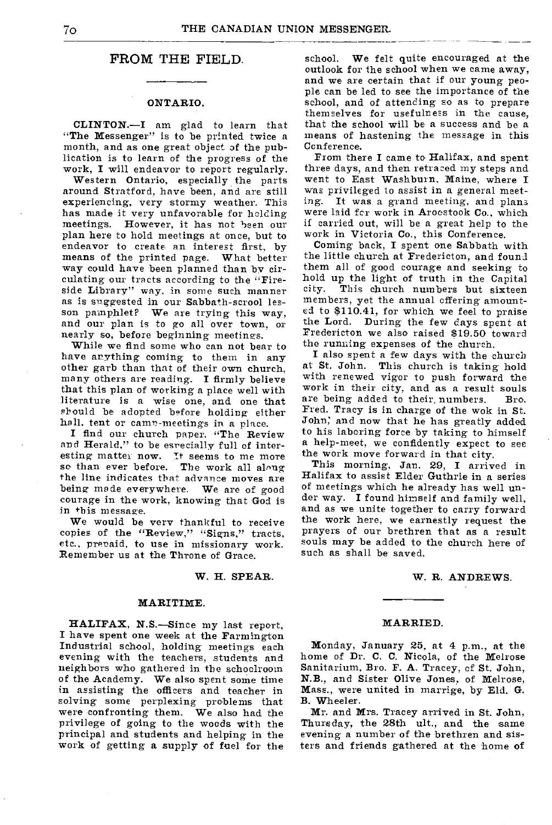### **FROM THE FIELD.**

#### ONTARIO.

CLINTON.—I am glad to learn that "The Messenger" is to be printed twice a month, and as one great object of the publication is to learn of the progress of the work, I will endeavor to report regularly.

Western Ontario, especially the parts around Stratford, have been, and are still experiencing, very stormy weather. This has made it very unfavorable for holding<br>meetings. However, it has not been our However, it has not been our plan here to hold meetings at once, but to endeavor to create an interest first, by means of the printed page. What better way could have been planned than by circulating our tracts according to the "Fireside Library" way, in some such manner as is suggested in our Sabbath-scrool lesson pamphlet? We are trying this way, and our plan is to go all over town, or nearly so, before beginning meetings.

While we find some who can not bear to have anything coming to them in any other garb than that of their own church, many others are reading. I firmly believe that this plan of working a place well with literature is a wise one, and one that should be adopted before holding either hall, tent or camp-meetings in a place.

I find our church paper. "The Review and Herald," to be esrecially full of interesting matter now. It seems to me more so than ever before. The work all along the line indicates that advance moves are being made everywhere. We are of good courage in the work, knowing that God is in this message.

We would be very thankful to receive copies of the "Review," "Signs," tracts, etc., prepaid, to use in missionary work. Remember us at the Throne of Grace.

#### W. H. SPEAR.

#### MARITIME.

HALIFAX, N.S.—Since my last report, I have spent one week at the Farmington Industrial school, holding meetings each evening with the teachers, students and neighbors who gathered in the schoolroom of the Academy. We also spent some time in assisting the officers and teacher in solving some perplexing problems that were confronting them. We also had the privilege of going to the woods with the principal and students and helping in the work of getting a supply of fuel for the

school. We felt quite encouraged at the outlook for the school when we came away, and we are certain that if our young people can be led to see the importance of the school, and of attending so as to prepare themselves for usefulness in the cause, that the school will be a success and be a means of hastening the message in this Conference.

From there I came to Halifax, and spent three days, and then retraced my steps and went to East Washburn, Maine, where I was privileged to assist in a general meeting. It was a grand meeting, and plans were laid for work in Aroostook Co., which if carried out, will be a great help to the work in Victoria Co., this Conference.

Coming back, I spent one Sabbath with the little church at Fredericton, and found them all of good courage and seeking to hold up the light of truth in the Capital<br>city. This church numbers but sixteen This church numbers but sixteen members, yet the annual offering amounted to 8110.41, for which we feel to praise the Lord. During the few days spent at Fredericton we also raised \$19.50 toward the running expenses of the church.

I also spent a few days with the church at St. John. This church is taking hold with renewed vigor to push forward the work in their city, and as a result souls are being added to their, numbers. Bro. Fred. Tracy is in charge of the wok in St. John; and now that he has greatly added to his laboring force by taking to himself a help-meet, we confidently expect to see the work move forward in that city.

This morning, Jan. 29, I arrived in Halifax to assist Elder Guthrie in a series of meetings which he already has well under way. I found himself and family well, and as we unite together to carry forward the work here, we earnestly request the prayers of our brethren that as a result souls may be added to the church here of such as shall be saved.

#### W. R. ANDREWS.

#### MARRIED.

Monday, January 25, at 4 p.m., at the home of Dr. C. C. Nicola, of the Melrose Sanitarium, Bro. F. A. Tracey, of St. John, N.B., and Sister Olive Jones, of Melrose, Mass., were united in marrige, by Eld. G. B. Wheeler.

Mr. and Mrs. Tracey arrived in St. John, Thursday, the 28th ult., and the same evening a number of the brethren and sisters and friends gathered at the home of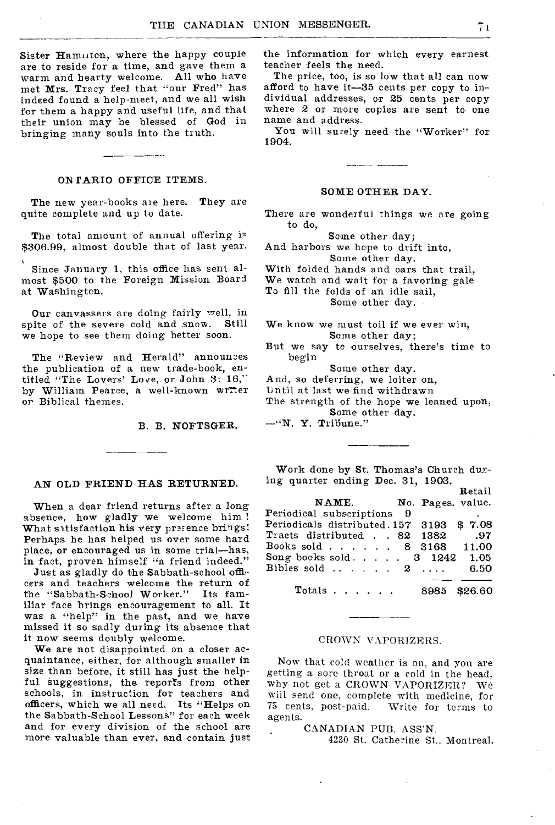Sister Hammton, where the happy couple are to reside for a time, and gave them a warm and hearty welcome. All who have met Mrs. Tracy feel that "our Fred" has indeed found a help-meet, and we all wish for them a happy and useful life, and that their union may be blessed of God in bringing many souls into the truth.

#### ONTARIO OFFICE ITEMS.

The new year-books are here. They are quite complete and up to date.

The total amount of annual offering is \$306.99, almost double that of last year.

Since January 1, this office has sent almost \$500 to the Foreign Mission Board at Washington.

Our canvassers are doing fairly well, in spite of the severe cold and snow. Still we hope to see them doing better soon.

The "Review and Herald" announces the publication of a new trade-book, entitled "The Lovers' Love, or John 3: 16," by William Pearce, a well-known wrrer or Biblical themes.

B. B. NOFTSGER.

#### AN OLD FRIEND HAS RETURNED.

When a dear friend returns after a long absence, how gladly we welcome him ! What sitisfaction his very presence brings! Perhaps he has helped us over some hard place, or encouraged us in some trial—has, in fact, proven himself "a friend indeed."

Just as gladly do the Sabbath-school officers and teachers welcome the return of the "Sabbath-School Worker." Its familiar face brings encouragement to all. It was a "help" in the past, and we have missed it so sadly during its absence that it now seems doubly welcome.

We are not disappointed on a closer acquaintance, either, for although smaller in size than before, it still has just the helpful. suggestions, the reports from other schools, in instruction for teachers and officers, which we all need. Its "Helps on the Sabbath-School Lessons" for each week and for every division of the school are more valuable than ever, and contain just

the information for which every earnest teacher feels the need.

The price, too, is so low that all can now afford to have it-35 cents per copy to individual addresses, or 25 cents per copy where 2 or more copies are sent to one name and address.

You will surely need the "Worker" for 1904.

#### SOME OTHER DAY.

There are wonderful things we are going to do,

Some other day;

And harbors we hope to drift into, Some other day.

With folded hands and oars that trail,

We watch and wait for a favoring gale

To fill the folds of an idle sail,

Some other day.

We know we must toil if we ever win, Some other day;

But we say to ourselves, there's time to begin

Some other day.

And, so deferring, we loiter on,

Until at last we find withdrawn

The strength of the hope we leaned upon, Some other day.

—"N. Y. Triliune."

Work done by St. Thomas's Church during quarter ending Dec. 31, 1903.

|                                                                           | Retail |
|---------------------------------------------------------------------------|--------|
| NAME. No. Pages. value.                                                   |        |
| Periodical subscriptions 9                                                |        |
| Periodicals distributed.157 3193 \$7.08                                   |        |
| Tracts distributed 82 1382 .97                                            |        |
| Books sold 8 3168 11.00                                                   |        |
| $\text{Song books sold.}\quad .\quad .\quad .\quad 3\quad 1242\quad 1.05$ |        |
| Bibles sold $\ldots$ 2                                                    | 6.50   |
|                                                                           |        |
| Totals 8985 \$26.60                                                       |        |

#### CROWN VAPORIZERS.

Now that cold weather is on, and you are getting a sore throat or a cold in the head. why not get a CROWN VAPORIZER? We will send one, complete with medicine, for 75 cents, post-paid. agents.

#### CANADIAN PUB. ASS'N,

4230 St. Catherine St., Montreal.